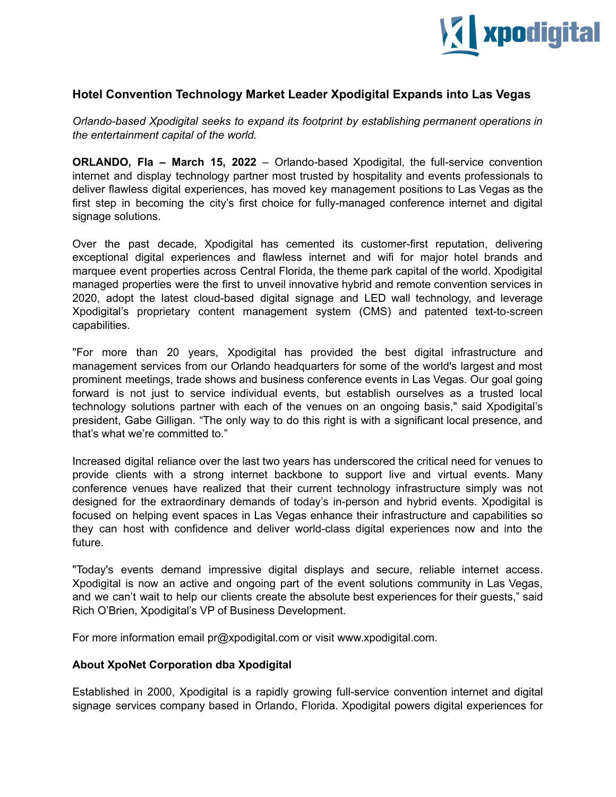

## **Hotel Convention Technology Market Leader Xpodigital Expands into Las Vegas**

*Orlando-based Xpodigital seeks to expand its footprint by establishing permanent operations in the entertainment capital of the world.*

**ORLANDO, Fla – March 15, 2022** – Orlando-based Xpodigital, the full-service convention internet and display technology partner most trusted by hospitality and events professionals to deliver flawless digital experiences, has moved key management positions to Las Vegas as the first step in becoming the city's first choice for fully-managed conference internet and digital signage solutions.

Over the past decade, Xpodigital has cemented its customer-first reputation, delivering exceptional digital experiences and flawless internet and wifi for major hotel brands and marquee event properties across Central Florida, the theme park capital of the world. Xpodigital managed properties were the first to unveil innovative hybrid and remote convention services in 2020, adopt the latest cloud-based digital signage and LED wall technology, and leverage Xpodigital's proprietary content management system (CMS) and patented text-to-screen capabilities.

"For more than 20 years, Xpodigital has provided the best digital infrastructure and management services from our Orlando headquarters for some of the world's largest and most prominent meetings, trade shows and business conference events in Las Vegas. Our goal going forward is not just to service individual events, but establish ourselves as a trusted local technology solutions partner with each of the venues on an ongoing basis," said Xpodigital's president, Gabe Gilligan. "The only way to do this right is with a significant local presence, and that's what we're committed to."

Increased digital reliance over the last two years has underscored the critical need for venues to provide clients with a strong internet backbone to support live and virtual events. Many conference venues have realized that their current technology infrastructure simply was not designed for the extraordinary demands of today's in-person and hybrid events. Xpodigital is focused on helping event spaces in Las Vegas enhance their infrastructure and capabilities so they can host with confidence and deliver world-class digital experiences now and into the future.

"Today's events demand impressive digital displays and secure, reliable internet access. Xpodigital is now an active and ongoing part of the event solutions community in Las Vegas, and we can't wait to help our clients create the absolute best experiences for their guests," said Rich O'Brien, Xpodigital's VP of Business Development.

For more information email pr@xpodigital.com or visit www.xpodigital.com.

## **About XpoNet Corporation dba Xpodigital**

Established in 2000, Xpodigital is a rapidly growing full-service convention internet and digital signage services company based in Orlando, Florida. Xpodigital powers digital experiences for